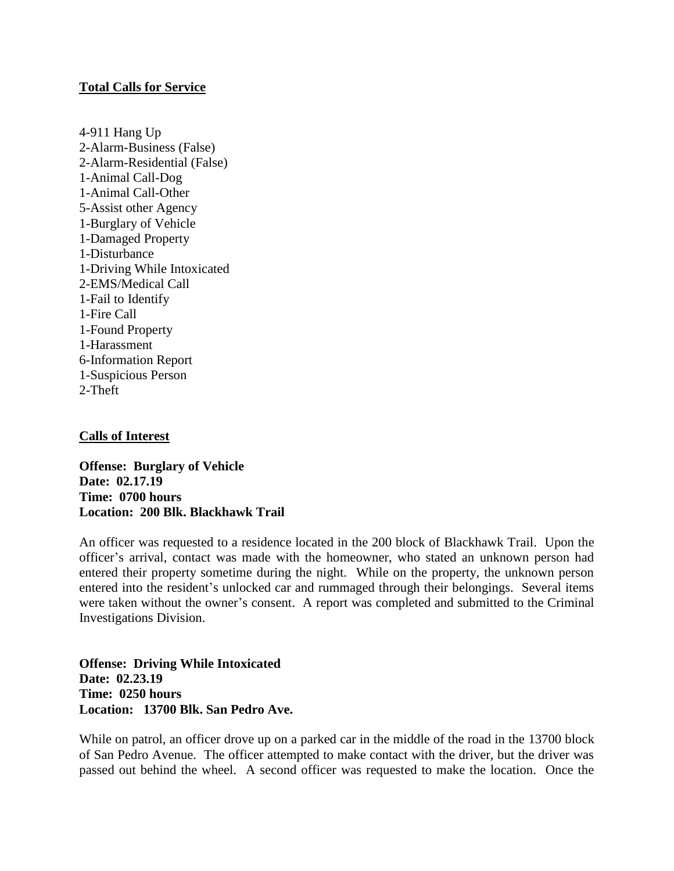## **Total Calls for Service**

4-911 Hang Up 2-Alarm-Business (False) 2-Alarm-Residential (False) 1-Animal Call-Dog 1-Animal Call-Other 5-Assist other Agency 1-Burglary of Vehicle 1-Damaged Property 1-Disturbance 1-Driving While Intoxicated 2-EMS/Medical Call 1-Fail to Identify 1-Fire Call 1-Found Property 1-Harassment 6-Information Report 1-Suspicious Person 2-Theft

## **Calls of Interest**

**Offense: Burglary of Vehicle Date: 02.17.19 Time: 0700 hours Location: 200 Blk. Blackhawk Trail**

An officer was requested to a residence located in the 200 block of Blackhawk Trail. Upon the officer's arrival, contact was made with the homeowner, who stated an unknown person had entered their property sometime during the night. While on the property, the unknown person entered into the resident's unlocked car and rummaged through their belongings. Several items were taken without the owner's consent. A report was completed and submitted to the Criminal Investigations Division.

**Offense: Driving While Intoxicated Date: 02.23.19 Time: 0250 hours Location: 13700 Blk. San Pedro Ave.**

While on patrol, an officer drove up on a parked car in the middle of the road in the 13700 block of San Pedro Avenue. The officer attempted to make contact with the driver, but the driver was passed out behind the wheel. A second officer was requested to make the location. Once the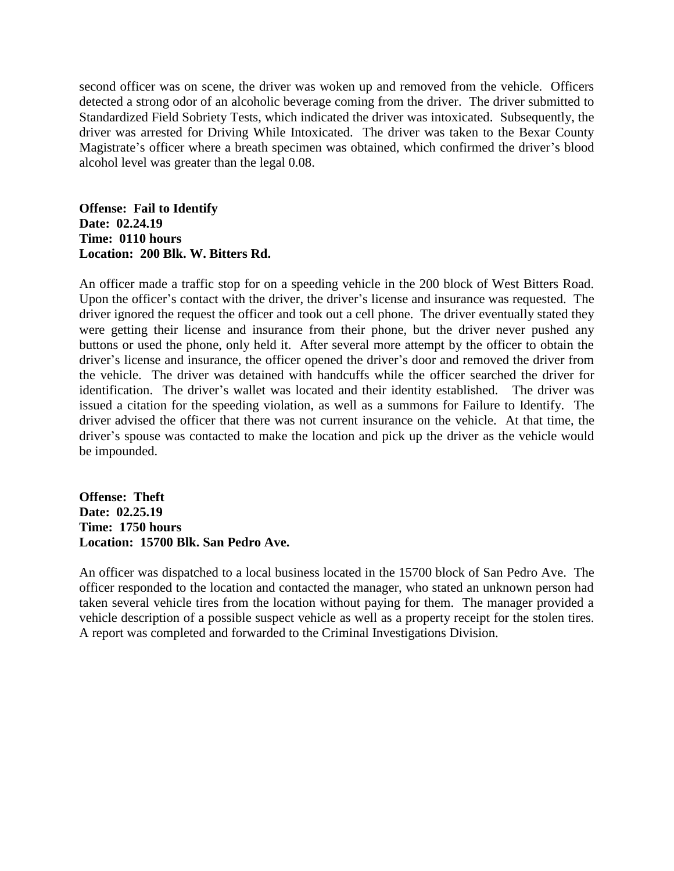second officer was on scene, the driver was woken up and removed from the vehicle. Officers detected a strong odor of an alcoholic beverage coming from the driver. The driver submitted to Standardized Field Sobriety Tests, which indicated the driver was intoxicated. Subsequently, the driver was arrested for Driving While Intoxicated. The driver was taken to the Bexar County Magistrate's officer where a breath specimen was obtained, which confirmed the driver's blood alcohol level was greater than the legal 0.08.

**Offense: Fail to Identify Date: 02.24.19 Time: 0110 hours Location: 200 Blk. W. Bitters Rd.**

An officer made a traffic stop for on a speeding vehicle in the 200 block of West Bitters Road. Upon the officer's contact with the driver, the driver's license and insurance was requested. The driver ignored the request the officer and took out a cell phone. The driver eventually stated they were getting their license and insurance from their phone, but the driver never pushed any buttons or used the phone, only held it. After several more attempt by the officer to obtain the driver's license and insurance, the officer opened the driver's door and removed the driver from the vehicle. The driver was detained with handcuffs while the officer searched the driver for identification. The driver's wallet was located and their identity established. The driver was issued a citation for the speeding violation, as well as a summons for Failure to Identify. The driver advised the officer that there was not current insurance on the vehicle. At that time, the driver's spouse was contacted to make the location and pick up the driver as the vehicle would be impounded.

**Offense: Theft Date: 02.25.19 Time: 1750 hours Location: 15700 Blk. San Pedro Ave.**

An officer was dispatched to a local business located in the 15700 block of San Pedro Ave. The officer responded to the location and contacted the manager, who stated an unknown person had taken several vehicle tires from the location without paying for them. The manager provided a vehicle description of a possible suspect vehicle as well as a property receipt for the stolen tires. A report was completed and forwarded to the Criminal Investigations Division.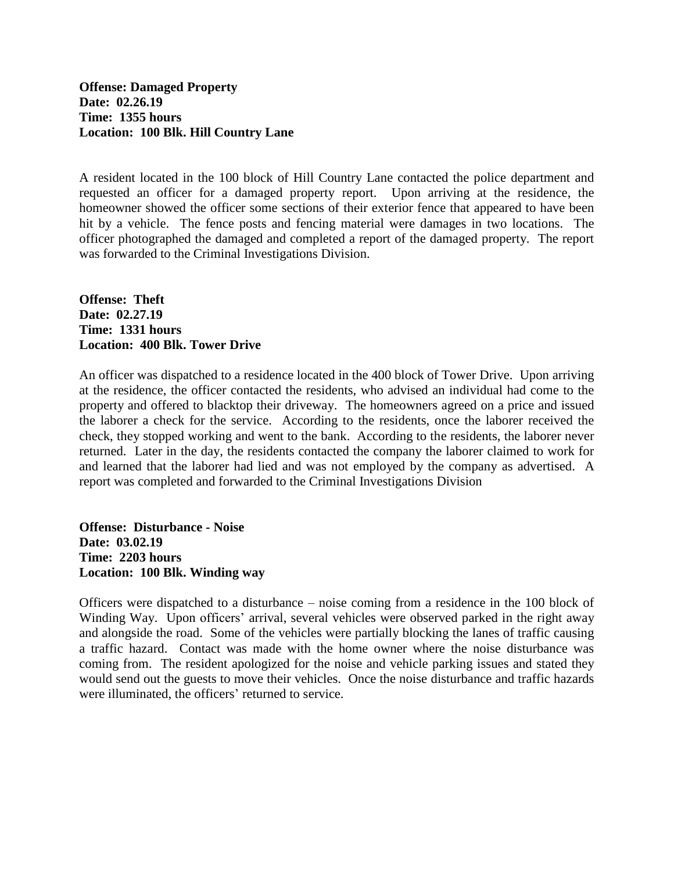**Offense: Damaged Property Date: 02.26.19 Time: 1355 hours Location: 100 Blk. Hill Country Lane**

A resident located in the 100 block of Hill Country Lane contacted the police department and requested an officer for a damaged property report. Upon arriving at the residence, the homeowner showed the officer some sections of their exterior fence that appeared to have been hit by a vehicle. The fence posts and fencing material were damages in two locations. The officer photographed the damaged and completed a report of the damaged property. The report was forwarded to the Criminal Investigations Division.

**Offense: Theft Date: 02.27.19 Time: 1331 hours Location: 400 Blk. Tower Drive**

An officer was dispatched to a residence located in the 400 block of Tower Drive. Upon arriving at the residence, the officer contacted the residents, who advised an individual had come to the property and offered to blacktop their driveway. The homeowners agreed on a price and issued the laborer a check for the service. According to the residents, once the laborer received the check, they stopped working and went to the bank. According to the residents, the laborer never returned. Later in the day, the residents contacted the company the laborer claimed to work for and learned that the laborer had lied and was not employed by the company as advertised. A report was completed and forwarded to the Criminal Investigations Division

**Offense: Disturbance - Noise Date: 03.02.19 Time: 2203 hours Location: 100 Blk. Winding way**

Officers were dispatched to a disturbance – noise coming from a residence in the 100 block of Winding Way. Upon officers' arrival, several vehicles were observed parked in the right away and alongside the road. Some of the vehicles were partially blocking the lanes of traffic causing a traffic hazard. Contact was made with the home owner where the noise disturbance was coming from. The resident apologized for the noise and vehicle parking issues and stated they would send out the guests to move their vehicles. Once the noise disturbance and traffic hazards were illuminated, the officers' returned to service.